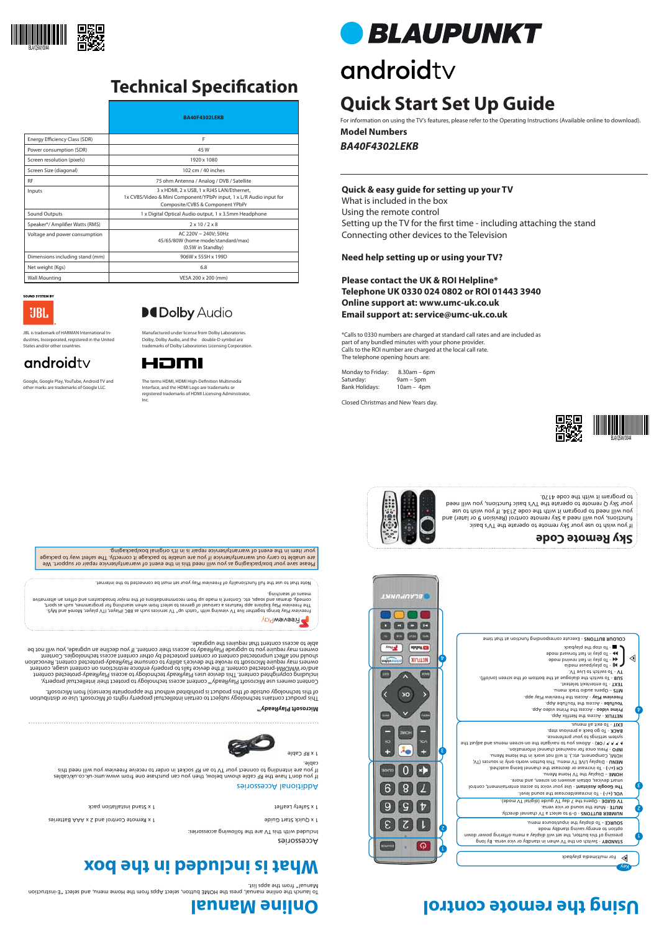Accessories

Included with this TV are the following accessories:

1 x Quick Start Guide Control and 2 x Apple Control and 2 x Assembly Start Start Guide Start Guide Start Start Guide Start Guide Start Guide Start Guide Start Guide Start Guide Start Guide Start Guide Start Guide Start Gui

et 1 x Safety Leaflet installation pack 1 x September 2 x September 2 x September 2 x September 2 x September 2 x S

### **Online Manual Using the remote control**



## **Technical Specification**









### **Quick & easy guide for setting up your TV**

What is included in the box Using the remote control Setting up the TV for the first time - including attaching the stand Connecting other devices to the Television

Monday to Friday: 8.30am – 6pm Saturday: 9am – 5pm<br>Bank Holidays: 10am – 4p  $10am - 4pm$ 

### **Need help setting up or using your TV?**

**Please contact the UK & ROI Helpline\* Telephone UK 0330 024 0802 or ROI 01443 3940 Online support at: www.umc-uk.co.uk Email support at: service@umc-uk.co.uk**

\*Calls to 0330 numbers are charged at standard call rates and are included as part of any bundled minutes with your phone provider. Calls to the ROI number are charged at the local call rate. The telephone opening hours are:



٤

 $\bm{\mathrm{b}}$ 

 $\triangleleft$ 

Closed Christmas and New Years day.

### **What is included in the box**



### Additional Accessories

If you don't have the RF cable shown below, then you can purchase one from www.umc-uk.co.uk/cables If you are intending to connect your TV to an RF socket in order to receive Freeview you will need this cable.

Freeview Play brings together live TV viewing with "catch up" TV services such as BBC iPlayer, VTI player, More4 and My5.<br>The Freeview Play brings together in Services of genres to select from when searching for programmes comedy, dramas and soaps, etc. Content is made up from recommendations of the major broadcasters and offers an alternative



2

L





 - 0–9 to select a TV channel directly. **NUMBER BUTTONS** - Mute the sound or vice versa. **MUTE**  - Opens the 7 day TV guide (digital TV mode). **TV GUIDE** 

> option to energy saints against the space To display the input/source menu. **SOURCE -**

To launch the online manual, press the HOME button, select Apps from the Home menu, and select "E-instruction Manual" from the apps list.

 $\mathcal{A}$  **A**  $\mathcal{A}$   $\mathcal{A}$   $\mathcal{A}$   $\mathcal{A}$   $\mathcal{A}$   $\mathcal{A}$   $\mathcal{A}$   $\mathcal{A}$   $\mathcal{A}$   $\mathcal{A}$   $\mathcal{A}$   $\mathcal{A}$   $\mathcal{A}$   $\mathcal{A}$   $\mathcal{A}$   $\mathcal{A}$   $\mathcal{A}$   $\mathcal{A}$   $\mathcal{A}$   $\mathcal{A}$   $\mathcal{A}$   $\mathcal{A}$   $\mathcal{A}$   $\$ system settings to your preference.

BACK - To go back a previous step. - To exit all menus. **EXIT**

**NETFLIX - Access the Netflix App.** Prime video - Access the Prime video App.

 - Access the YouTube App. **YouTube** Freeview Play - Access the Freeview Play app.

Please save your box/packaging as you will need this in the event of warranty/service repair or support. We are unable to carry out warranty/service if you are unable to package it correctly. The safest way to package your item in the event of warranty/service repair is in it's original box/packaging.

means of searching.





Note that to use the full functionality of Freeview Play your set must be connected to the internet.

 - Switch on the TV when in standby or vice versa. By long **STANDBY** pressing of this button, the set will display a menu offering power down

The terms HDMI, HDMI High-Definition Multimedia Interface, and the HDMI Logo are trademarks or registered trademarks of HDMI Licensing Administrator, Inc.

**BLAUPUNKT** 

# androidty

 - To increase/decrease the sound level. **VOL (+/-)** The Google Assistant - Use your voice to access entertainment, control smart devices, obtain answers on screen, and more. – Display the TV Home Menu. **HOME**

- To increase or decrease the channel being watched. **CH (+/-)**

- Display LIVE TV menu. This button works only in sources (TV, **MENU**

HDMI, Component, etc.). It will not work in the Home Menu.

- Press once for now/next channel information. **INFO** 

– Opens audio track menu. **MTS**  - To enter/exit teletext. **TEXT** 

**Microsoft PlayReady™**

This product contains technology subject to certain intellectual property rights of Microsoft. Use or distribution of this technology outside of this product is prohibited without the appropriate license(s) from Microsoft.

Content owners use Microsoft PlayReady™ content access technology to protect their intellectual property, including copyrighted content. This device uses PlayReady technology to access PlayReady-protected content and/or WMDRM-protected content. If the device fails to properly enforce restrictions on content usage, content owners may require Microsoft to revoke the device's ability to consume PlayReady-protected content. Revocation ect unprotected content or content protected by other content access technologies. Content should not aff owners may require you to upgrade PlayReady to access their content. If you decline an upgrade, you will not be

able to access content that requires the upgrade.

If you wish to use your Sky remote to operate the TV's basic functions, you will need a Sky remote control (Revision 9 or later) and you will need to program it with the code 2134. If you wish to use your Sky Q remote to operate the TV's basic functions, you will need



to program it with the code 4170.



## Manufactured under license from Dolby Laboratories.

Dolby, Dolby Audio, and the double-D symbol are trademarks of Dolby Laboratories Licensing Corporation.



Google, Google Play, YouTube, Android TV and other marks are trademarks of Google LLC.

*BA40F4302LEKB* **Model Numbers**

## **Quick Start Set Up Guide**

For information on using the TV's features, please refer to the Operating Instructions (Available online to download).

|                                 | <b>BA40F4302LEKB</b>                                                                                                                                 |
|---------------------------------|------------------------------------------------------------------------------------------------------------------------------------------------------|
| Energy Efficiency Class (SDR)   | F                                                                                                                                                    |
| Power consumption (SDR)         | 45 W                                                                                                                                                 |
| Screen resolution (pixels)      | 1920 x 1080                                                                                                                                          |
| Screen Size (diagonal)          | 102 cm / 40 inches                                                                                                                                   |
| <b>RF</b>                       | 75 ohm Antenna / Analog / DVB / Satellite                                                                                                            |
| Inputs                          | 3 x HDMI, 2 x USB, 1 x RJ45 LAN/Ethernet,<br>1x CVBS/Video & Mini Component/YPbPr input, 1 x L/R Audio input for<br>Composite/CVBS & Component YPbPr |
| Sound Outputs                   | 1 x Digital Optical Audio output, 1 x 3.5mm Headphone                                                                                                |
| Speaker*/ Amplifier Watts (RMS) | $2 \times 10 / 2 \times 8$                                                                                                                           |
| Voltage and power consumption   | AC 220V ~ 240V; 50Hz<br>45/65/80W (home mode/standard/max)<br>(0.5W in Standby)                                                                      |
| Dimensions including stand (mm) | 906W x 555H x 199D                                                                                                                                   |
| Net weight (Kgs)                | 6.8                                                                                                                                                  |
| <b>Wall Mounting</b>            | VESA 200 x 200 (mm)                                                                                                                                  |

**JND SYSTEM B** UBI.

### **DeDolby Audio**

JBL is trademark of HARMAN International Industries, Incorporated, registered in the United States and/or other countries.

### androidty